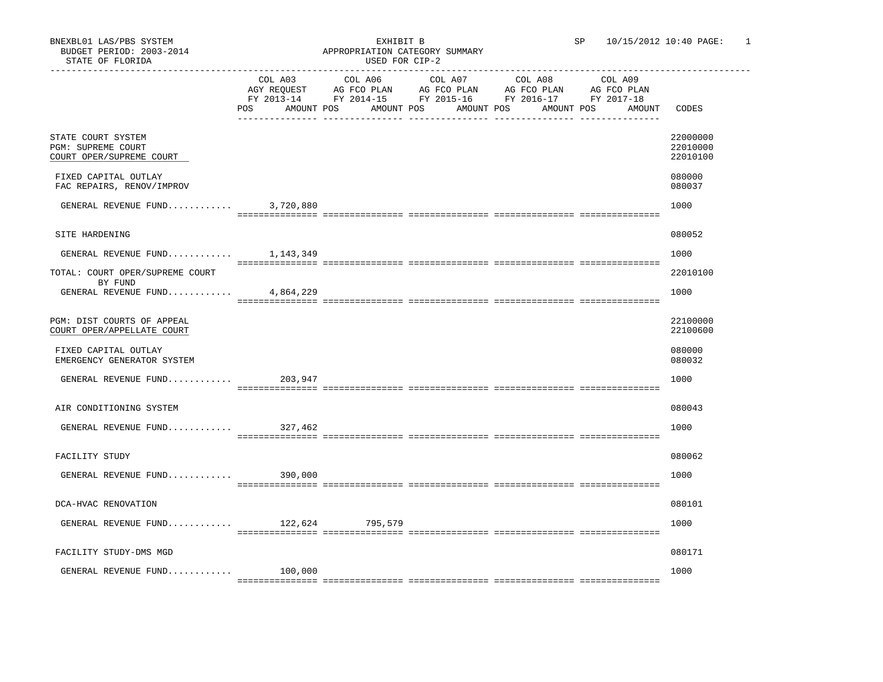|                                                                      | COL A03<br>POS<br>AMOUNT POS | COL A06<br>AMOUNT POS | COL A07<br>AGY REQUEST AG FCO PLAN AG FCO PLAN AG FCO PLAN<br>AMOUNT POS | COL A08<br>FY 2013-14 FY 2014-15 FY 2015-16 FY 2016-17 FY 2017-18<br>AMOUNT POS | COL A09<br>AG FCO PLAN<br>AMOUNT | CODES                            |
|----------------------------------------------------------------------|------------------------------|-----------------------|--------------------------------------------------------------------------|---------------------------------------------------------------------------------|----------------------------------|----------------------------------|
| STATE COURT SYSTEM<br>PGM: SUPREME COURT<br>COURT OPER/SUPREME COURT |                              |                       |                                                                          |                                                                                 |                                  | 22000000<br>22010000<br>22010100 |
| FIXED CAPITAL OUTLAY<br>FAC REPAIRS, RENOV/IMPROV                    |                              |                       |                                                                          |                                                                                 |                                  | 080000<br>080037                 |
| GENERAL REVENUE FUND $3,720,880$                                     |                              |                       |                                                                          |                                                                                 |                                  | 1000                             |
| SITE HARDENING                                                       |                              |                       |                                                                          |                                                                                 |                                  | 080052                           |
| GENERAL REVENUE FUND                                                 | 1,143,349                    |                       |                                                                          |                                                                                 |                                  | 1000                             |
| TOTAL: COURT OPER/SUPREME COURT<br>BY FUND                           |                              |                       |                                                                          |                                                                                 |                                  | 22010100                         |
| GENERAL REVENUE FUND $4,864,229$                                     |                              |                       |                                                                          |                                                                                 |                                  | 1000                             |
| PGM: DIST COURTS OF APPEAL<br>COURT OPER/APPELLATE COURT             |                              |                       |                                                                          |                                                                                 |                                  | 22100000<br>22100600             |
| FIXED CAPITAL OUTLAY<br>EMERGENCY GENERATOR SYSTEM                   |                              |                       |                                                                          |                                                                                 |                                  | 080000<br>080032                 |
| GENERAL REVENUE FUND                                                 | 203,947                      |                       |                                                                          |                                                                                 |                                  | 1000                             |
| AIR CONDITIONING SYSTEM                                              |                              |                       |                                                                          |                                                                                 |                                  | 080043                           |
| GENERAL REVENUE FUND 327,462                                         |                              |                       |                                                                          |                                                                                 |                                  | 1000                             |
| FACILITY STUDY                                                       |                              |                       |                                                                          |                                                                                 |                                  | 080062                           |
| GENERAL REVENUE FUND                                                 | 390,000                      |                       |                                                                          |                                                                                 |                                  | 1000                             |
| DCA-HVAC RENOVATION                                                  |                              |                       |                                                                          |                                                                                 |                                  | 080101                           |
| GENERAL REVENUE FUND 122,624 795,579                                 |                              |                       |                                                                          |                                                                                 |                                  | 1000                             |
| FACILITY STUDY-DMS MGD                                               |                              |                       |                                                                          |                                                                                 |                                  | 080171                           |
| GENERAL REVENUE FUND                                                 | 100,000                      |                       |                                                                          |                                                                                 |                                  | 1000                             |